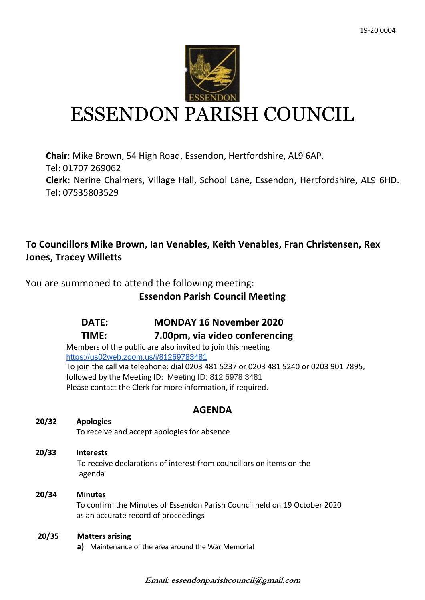

# ESSENDON PARISH COUNCIL

**Chair**: Mike Brown, 54 High Road, Essendon, Hertfordshire, AL9 6AP. Tel: 01707 269062 **Clerk:** Nerine Chalmers, Village Hall, School Lane, Essendon, Hertfordshire, AL9 6HD. Tel: 07535803529

# **To Councillors Mike Brown, Ian Venables, Keith Venables, Fran Christensen, Rex Jones, Tracey Willetts**

You are summoned to attend the following meeting:

# **Essendon Parish Council Meeting**

# **DATE: MONDAY 16 November 2020**

## **TIME: 7.00pm, via video conferencing**

Members of the public are also invited to join this meeting <https://us02web.zoom.us/j/81269783481> To join the call via telephone: dial 0203 481 5237 or 0203 481 5240 or 0203 901 7895, followed by the Meeting ID: Meeting ID: 812 6978 3481 Please contact the Clerk for more information, if required.

## **AGENDA**

## **20/32 Apologies**

To receive and accept apologies for absence

 **20/33 Interests** To receive declarations of interest from councillors on items on the agenda

## **20/34 Minutes** To confirm the Minutes of Essendon Parish Council held on 19 October 2020 as an accurate record of proceedings

## **20/35 Matters arising**

**a)** Maintenance of the area around the War Memorial

**Email: essendonparishcouncil@gmail.com**